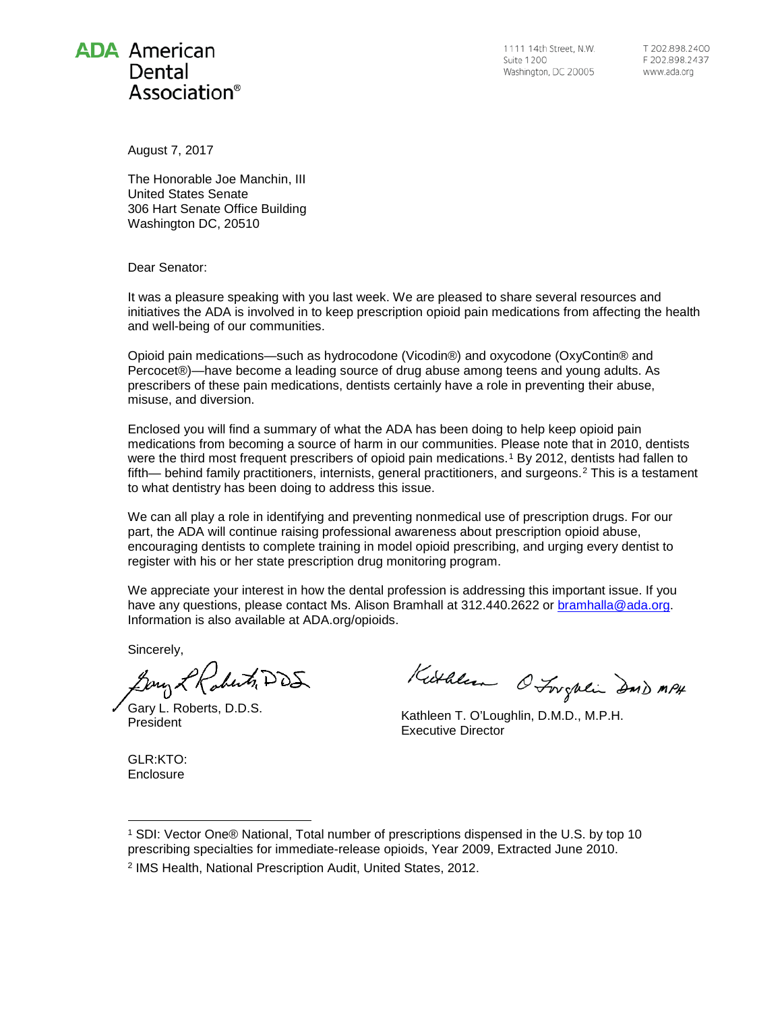## **ADA** American Dental Association®

1111 14th Street, N.W. Suite 1200 Washington, DC 20005 T 202 898 2400 F 202.898.2437 www.ada.org

August 7, 2017

The Honorable Joe Manchin, III United States Senate 306 Hart Senate Office Building Washington DC, 20510

Dear Senator:

It was a pleasure speaking with you last week. We are pleased to share several resources and initiatives the ADA is involved in to keep prescription opioid pain medications from affecting the health and well-being of our communities.

Opioid pain medications—such as hydrocodone (Vicodin®) and oxycodone (OxyContin® and Percocet®)—have become a leading source of drug abuse among teens and young adults. As prescribers of these pain medications, dentists certainly have a role in preventing their abuse, misuse, and diversion.

Enclosed you will find a summary of what the ADA has been doing to help keep opioid pain medications from becoming a source of harm in our communities. Please note that in 2010, dentists were the third most frequent prescribers of opioid pain medications.<sup>[1](#page-0-0)</sup> By 2012, dentists had fallen to fifth— behind family practitioners, internists, general practitioners, and surgeons.<sup>[2](#page-0-1)</sup> This is a testament to what dentistry has been doing to address this issue.

We can all play a role in identifying and preventing nonmedical use of prescription drugs. For our part, the ADA will continue raising professional awareness about prescription opioid abuse, encouraging dentists to complete training in model opioid prescribing, and urging every dentist to register with his or her state prescription drug monitoring program.

We appreciate your interest in how the dental profession is addressing this important issue. If you have any questions, please contact Ms. Alison Bramhall at 312.440.2622 or [bramhalla@ada.org.](mailto:bramhalla@ada.org) Information is also available at ADA.org/opioids.

Sincerely,

Bony & Raberts, DDS

Gary L. Roberts, D.D.S.

GLR:KTO: **Enclosure** 

Kuthleen O Longhein Daid MPH

Sary E. Roberts, D.D.S.<br>President Free Contract Contract Contract Contract Contract President Executive Director

<span id="page-0-1"></span><span id="page-0-0"></span><sup>1</sup> SDI: Vector One® National, Total number of prescriptions dispensed in the U.S. by top 10 prescribing specialties for immediate-release opioids, Year 2009, Extracted June 2010. <sup>2</sup> IMS Health, National Prescription Audit, United States, 2012. -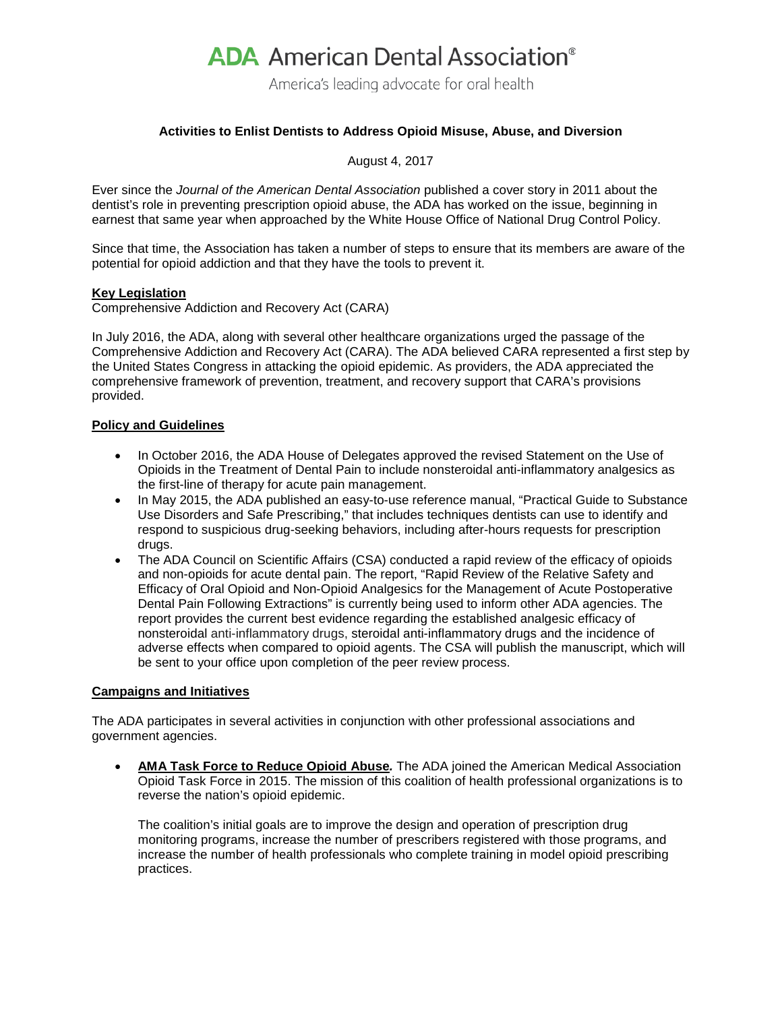# **ADA** American Dental Association<sup>®</sup>

America's leading advocate for oral health

#### **Activities to Enlist Dentists to Address Opioid Misuse, Abuse, and Diversion**

August 4, 2017

Ever since the *Journal of the American Dental Association* published a cover story in 2011 about the dentist's role in preventing prescription opioid abuse, the ADA has worked on the issue, beginning in earnest that same year when approached by the White House Office of National Drug Control Policy.

Since that time, the Association has taken a number of steps to ensure that its members are aware of the potential for opioid addiction and that they have the tools to prevent it.

#### **Key Legislation**

Comprehensive Addiction and Recovery Act (CARA)

In July 2016, the ADA, along with several other healthcare organizations urged the passage of the Comprehensive Addiction and Recovery Act (CARA). The ADA believed CARA represented a first step by the United States Congress in attacking the opioid epidemic. As providers, the ADA appreciated the comprehensive framework of prevention, treatment, and recovery support that CARA's provisions provided.

#### **Policy and Guidelines**

- In October 2016, the ADA House of Delegates approved the revised Statement on the Use of Opioids in the Treatment of Dental Pain to include nonsteroidal anti-inflammatory analgesics as the first-line of therapy for acute pain management.
- In May 2015, the ADA published an easy-to-use reference manual, "Practical Guide to Substance Use Disorders and Safe Prescribing," that includes techniques dentists can use to identify and respond to suspicious drug-seeking behaviors, including after-hours requests for prescription drugs.
- The ADA Council on Scientific Affairs (CSA) conducted a rapid review of the efficacy of opioids and non-opioids for acute dental pain. The report, "Rapid Review of the Relative Safety and Efficacy of Oral Opioid and Non-Opioid Analgesics for the Management of Acute Postoperative Dental Pain Following Extractions" is currently being used to inform other ADA agencies. The report provides the current best evidence regarding the established analgesic efficacy of nonsteroidal anti-inflammatory drugs, steroidal anti-inflammatory drugs and the incidence of adverse effects when compared to opioid agents. The CSA will publish the manuscript, which will be sent to your office upon completion of the peer review process.

#### **Campaigns and Initiatives**

The ADA participates in several activities in conjunction with other professional associations and government agencies.

• **AMA Task Force to Reduce Opioid Abuse***.* The ADA joined the American Medical Association Opioid Task Force in 2015. The mission of this coalition of health professional organizations is to reverse the nation's opioid epidemic.

The coalition's initial goals are to improve the design and operation of prescription drug monitoring programs, increase the number of prescribers registered with those programs, and increase the number of health professionals who complete training in model opioid prescribing practices.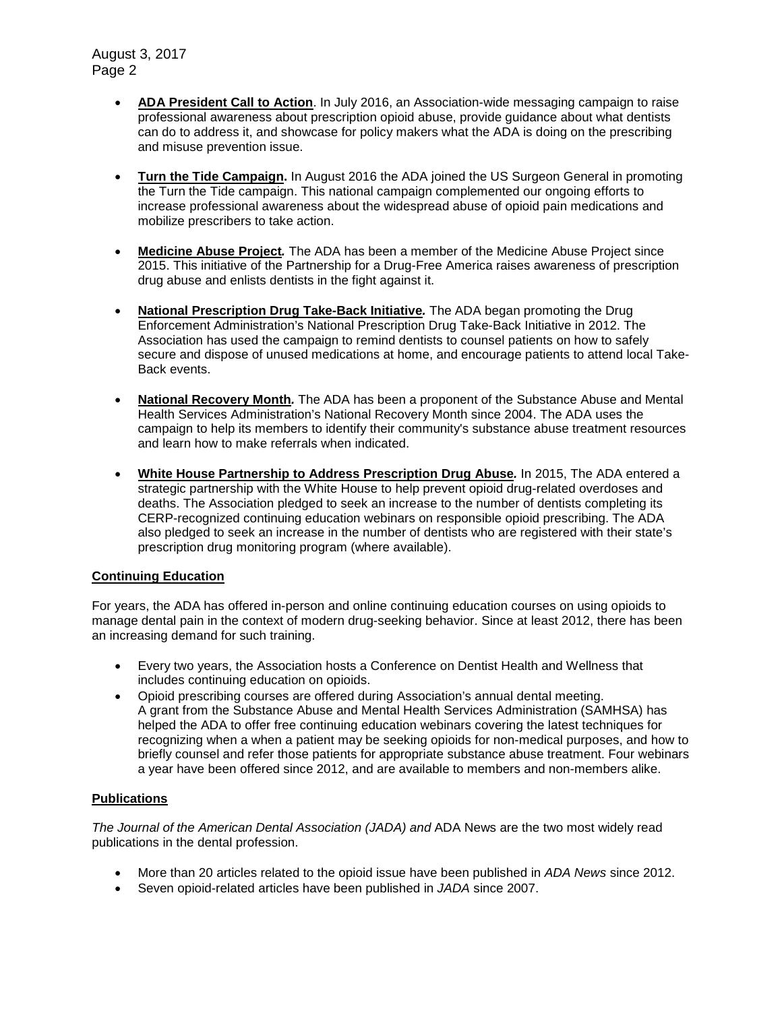August 3, 2017 Page 2

- **ADA President Call to Action**. In July 2016, an Association-wide messaging campaign to raise professional awareness about prescription opioid abuse, provide guidance about what dentists can do to address it, and showcase for policy makers what the ADA is doing on the prescribing and misuse prevention issue.
- **Turn the Tide Campaign.** In August 2016 the ADA joined the US Surgeon General in promoting the Turn the Tide campaign. This national campaign complemented our ongoing efforts to increase professional awareness about the widespread abuse of opioid pain medications and mobilize prescribers to take action.
- **Medicine Abuse Project***.* The ADA has been a member of the Medicine Abuse Project since 2015. This initiative of the Partnership for a Drug-Free America raises awareness of prescription drug abuse and enlists dentists in the fight against it.
- **National Prescription Drug Take-Back Initiative***.* The ADA began promoting the Drug Enforcement Administration's National Prescription Drug Take-Back Initiative in 2012. The Association has used the campaign to remind dentists to counsel patients on how to safely secure and dispose of unused medications at home, and encourage patients to attend local Take-Back events.
- **National Recovery Month***.* The ADA has been a proponent of the Substance Abuse and Mental Health Services Administration's National Recovery Month since 2004. The ADA uses the campaign to help its members to identify their community's substance abuse treatment resources and learn how to make referrals when indicated.
- **White House Partnership to Address Prescription Drug Abuse***.* In 2015, The ADA entered a strategic partnership with the White House to help prevent opioid drug-related overdoses and deaths. The Association pledged to seek an increase to the number of dentists completing its CERP-recognized continuing education webinars on responsible opioid prescribing. The ADA also pledged to seek an increase in the number of dentists who are registered with their state's prescription drug monitoring program (where available).

#### **Continuing Education**

For years, the ADA has offered in-person and online continuing education courses on using opioids to manage dental pain in the context of modern drug-seeking behavior. Since at least 2012, there has been an increasing demand for such training.

- Every two years, the Association hosts a Conference on Dentist Health and Wellness that includes continuing education on opioids.
- Opioid prescribing courses are offered during Association's annual dental meeting. A grant from the Substance Abuse and Mental Health Services Administration (SAMHSA) has helped the ADA to offer free continuing education webinars covering the latest techniques for recognizing when a when a patient may be seeking opioids for non-medical purposes, and how to briefly counsel and refer those patients for appropriate substance abuse treatment. Four webinars a year have been offered since 2012, and are available to members and non-members alike.

#### **Publications**

*The Journal of the American Dental Association (JADA) and ADA News are the two most widely read* publications in the dental profession.

- More than 20 articles related to the opioid issue have been published in *ADA News* since 2012.
- Seven opioid-related articles have been published in *JADA* since 2007.